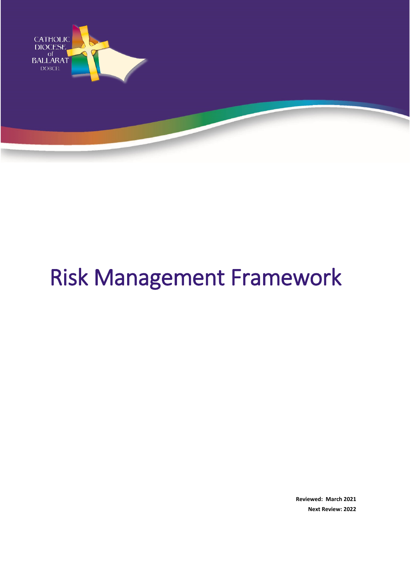

# Risk Management Framework

**Reviewed: March 2021 Next Review: 2022**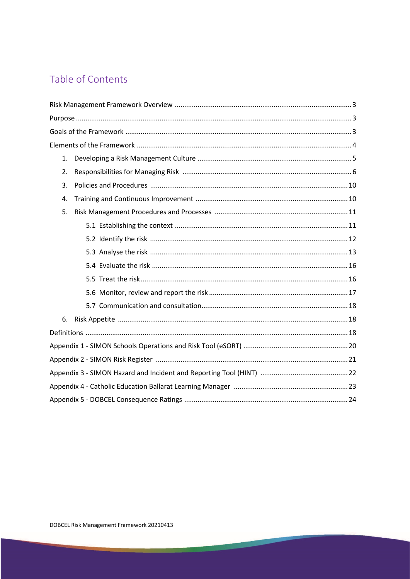# Table of Contents

| 1. |  |
|----|--|
| 2. |  |
| 3. |  |
| 4. |  |
| 5. |  |
|    |  |
|    |  |
|    |  |
|    |  |
|    |  |
|    |  |
|    |  |
| 6. |  |
|    |  |
|    |  |
|    |  |
|    |  |
|    |  |
|    |  |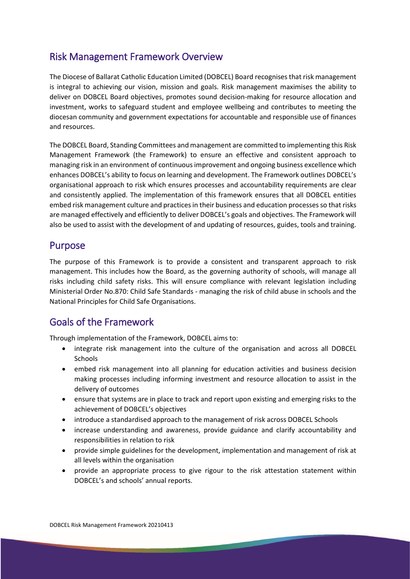# Risk Management Framework Overview

The Diocese of Ballarat Catholic Education Limited (DOBCEL) Board recognises that risk management is integral to achieving our vision, mission and goals. Risk management maximises the ability to deliver on DOBCEL Board objectives, promotes sound decision-making for resource allocation and investment, works to safeguard student and employee wellbeing and contributes to meeting the diocesan community and government expectations for accountable and responsible use of finances and resources.

The DOBCEL Board, Standing Committees and management are committed to implementing this Risk Management Framework (the Framework) to ensure an effective and consistent approach to managing risk in an environment of continuous improvement and ongoing business excellence which enhances DOBCEL's ability to focus on learning and development. The Framework outlines DOBCEL's organisational approach to risk which ensures processes and accountability requirements are clear and consistently applied. The implementation of this framework ensures that all DOBCEL entities embed risk management culture and practices in their business and education processesso that risks are managed effectively and efficiently to deliver DOBCEL's goals and objectives. The Framework will also be used to assist with the development of and updating of resources, guides, tools and training.

### Purpose

The purpose of this Framework is to provide a consistent and transparent approach to risk management. This includes how the Board, as the governing authority of schools, will manage all risks including child safety risks. This will ensure compliance with relevant legislation including Ministerial Order No.870: Child Safe Standards - managing the risk of child abuse in schools and the National Principles for Child Safe Organisations.

# Goals of the Framework

Through implementation of the Framework, DOBCEL aims to:

- integrate risk management into the culture of the organisation and across all DOBCEL **Schools**
- embed risk management into all planning for education activities and business decision making processes including informing investment and resource allocation to assist in the delivery of outcomes
- ensure that systems are in place to track and report upon existing and emerging risks to the achievement of DOBCEL's objectives
- introduce a standardised approach to the management of risk across DOBCEL Schools
- increase understanding and awareness, provide guidance and clarify accountability and responsibilities in relation to risk
- provide simple guidelines for the development, implementation and management of risk at all levels within the organisation
- provide an appropriate process to give rigour to the risk attestation statement within DOBCEL's and schools' annual reports.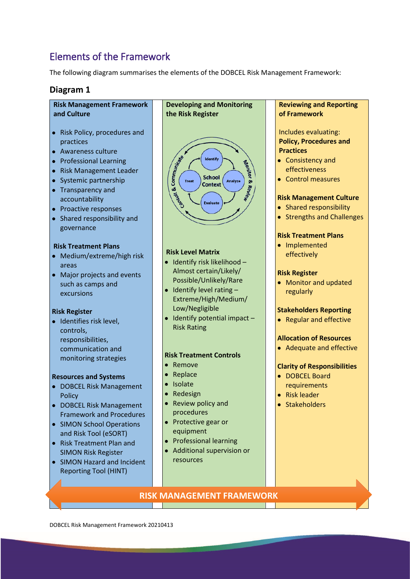# Elements of the Framework

The following diagram summarises the elements of the DOBCEL Risk Management Framework:

#### **Diagram 1**

#### **Risk Management Framework and Culture**

- Risk Policy, procedures and practices
- Awareness culture
- Professional Learning
- Risk Management Leader
- Systemic partnership
- Transparency and accountability
- Proactive responses
- Shared responsibility and governance

#### **Risk Treatment Plans**

- Medium/extreme/high risk areas
- Major projects and events such as camps and excursions

#### **Risk Register**

• Identifies risk level, controls, responsibilities, communication and monitoring strategies

#### **Resources and Systems**

- DOBCEL Risk Management Policy
- DOBCEL Risk Management Framework and Procedures
- SIMON School Operations and Risk Tool (eSORT)
- Risk Treatment Plan and SIMON Risk Register
- SIMON Hazard and Incident Reporting Tool (HINT)



#### **Risk Level Matrix**

- Identify risk likelihood Almost certain/Likely/ Possible/Unlikely/Rare
- $\bullet$  Identify level rating  $-$ Extreme/High/Medium/ Low/Negligible
- Identify potential impact Risk Rating

#### **Risk Treatment Controls**

- Remove
- Replace
- Isolate
- Redesign
- Review policy and procedures
- Protective gear or equipment
- Professional learning
- Additional supervision or resources

**Reviewing and Reporting of Framework** Includes evaluating: **Policy, Procedures and Practices** • Consistency and effectiveness • Control measures **Risk Management Culture** • Shared responsibility • Strengths and Challenges **Risk Treatment Plans** • Implemented effectively **Risk Register** • Monitor and updated regularly **Stakeholders Reporting** • Regular and effective **Allocation of Resources** • Adequate and effective **Clarity of Responsibilities** • DOBCEL Board requirements • Risk leader • Stakeholders

#### **RISK MANAGEMENT FRAMEWORK**

DOBCEL Risk Management Framework 20210413 4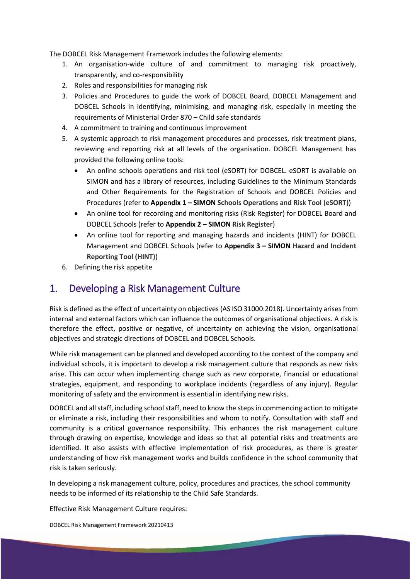The DOBCEL Risk Management Framework includes the following elements:

- 1. An organisation-wide culture of and commitment to managing risk proactively, transparently, and co-responsibility
- 2. Roles and responsibilities for managing risk
- 3. Policies and Procedures to guide the work of DOBCEL Board, DOBCEL Management and DOBCEL Schools in identifying, minimising, and managing risk, especially in meeting the requirements of Ministerial Order 870 – Child safe standards
- 4. A commitment to training and continuous improvement
- 5. A systemic approach to risk management procedures and processes, risk treatment plans, reviewing and reporting risk at all levels of the organisation. DOBCEL Management has provided the following online tools:
	- An online schools operations and risk tool (eSORT) for DOBCEL. eSORT is available on SIMON and has a library of resources, including Guidelines to the Minimum Standards and Other Requirements for the Registration of Schools and DOBCEL Policies and Procedures (refer to **Appendix 1 – SIMON Schools Operations and Risk Tool (eSORT)**)
	- An online tool for recording and monitoring risks (Risk Register) for DOBCEL Board and DOBCEL Schools (refer to **Appendix 2 – SIMON Risk Register**)
	- An online tool for reporting and managing hazards and incidents (HINT) for DOBCEL Management and DOBCEL Schools (refer to **Appendix 3 – SIMON Hazard and Incident Reporting Tool (HINT)**)
- 6. Defining the risk appetite

# 1. Developing a Risk Management Culture

Risk is defined as the effect of uncertainty on objectives (AS ISO 31000:2018). Uncertainty arises from internal and external factors which can influence the outcomes of organisational objectives. A risk is therefore the effect, positive or negative, of uncertainty on achieving the vision, organisational objectives and strategic directions of DOBCEL and DOBCEL Schools.

While risk management can be planned and developed according to the context of the company and individual schools, it is important to develop a risk management culture that responds as new risks arise. This can occur when implementing change such as new corporate, financial or educational strategies, equipment, and responding to workplace incidents (regardless of any injury). Regular monitoring of safety and the environment is essential in identifying new risks.

DOBCEL and all staff, including school staff, need to know the steps in commencing action to mitigate or eliminate a risk, including their responsibilities and whom to notify. Consultation with staff and community is a critical governance responsibility. This enhances the risk management culture through drawing on expertise, knowledge and ideas so that all potential risks and treatments are identified. It also assists with effective implementation of risk procedures, as there is greater understanding of how risk management works and builds confidence in the school community that risk is taken seriously.

In developing a risk management culture, policy, procedures and practices, the school community needs to be informed of its relationship to the Child Safe Standards.

Effective Risk Management Culture requires:

DOBCEL Risk Management Framework 20210413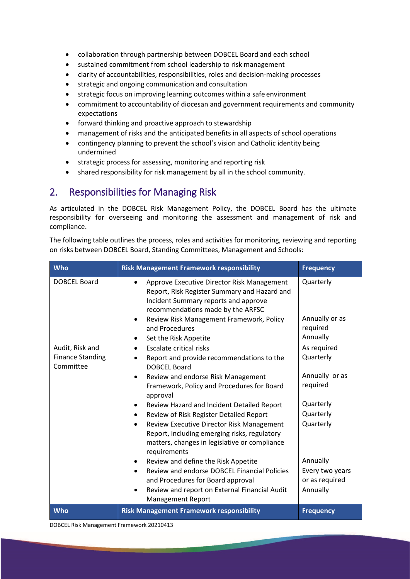- collaboration through partnership between DOBCEL Board and each school
- sustained commitment from school leadership to risk management
- clarity of accountabilities, responsibilities, roles and decision-making processes
- strategic and ongoing communication and consultation
- strategic focus on improving learning outcomes within a safe environment
- commitment to accountability of diocesan and government requirements and community expectations
- forward thinking and proactive approach to stewardship
- management of risks and the anticipated benefits in all aspects of school operations
- contingency planning to prevent the school's vision and Catholic identity being undermined
- strategic process for assessing, monitoring and reporting risk
- shared responsibility for risk management by all in the school community.

# 2. Responsibilities for Managing Risk

As articulated in the DOBCEL Risk Management Policy, the DOBCEL Board has the ultimate responsibility for overseeing and monitoring the assessment and management of risk and compliance.

The following table outlines the process, roles and activities for monitoring, reviewing and reporting on risks between DOBCEL Board, Standing Committees, Management and Schools:

| Who                                                     | <b>Risk Management Framework responsibility</b>                                                                                                                                                                                                                                                                                                                                                                                                                                                                                                                                                                                                                                                                               | <b>Frequency</b>                                                                                                                                           |
|---------------------------------------------------------|-------------------------------------------------------------------------------------------------------------------------------------------------------------------------------------------------------------------------------------------------------------------------------------------------------------------------------------------------------------------------------------------------------------------------------------------------------------------------------------------------------------------------------------------------------------------------------------------------------------------------------------------------------------------------------------------------------------------------------|------------------------------------------------------------------------------------------------------------------------------------------------------------|
| <b>DOBCEL Board</b>                                     | Approve Executive Director Risk Management<br>Report, Risk Register Summary and Hazard and<br>Incident Summary reports and approve<br>recommendations made by the ARFSC<br>Review Risk Management Framework, Policy<br>and Procedures<br>Set the Risk Appetite                                                                                                                                                                                                                                                                                                                                                                                                                                                                | Quarterly<br>Annually or as<br>required<br>Annually                                                                                                        |
| Audit, Risk and<br><b>Finance Standing</b><br>Committee | <b>Escalate critical risks</b><br>Report and provide recommendations to the<br><b>DOBCEL Board</b><br>Review and endorse Risk Management<br>$\bullet$<br>Framework, Policy and Procedures for Board<br>approval<br>Review Hazard and Incident Detailed Report<br>Review of Risk Register Detailed Report<br>$\bullet$<br>Review Executive Director Risk Management<br>$\bullet$<br>Report, including emerging risks, regulatory<br>matters, changes in legislative or compliance<br>requirements<br>Review and define the Risk Appetite<br><b>Review and endorse DOBCEL Financial Policies</b><br>$\bullet$<br>and Procedures for Board approval<br>Review and report on External Financial Audit<br><b>Management Report</b> | As required<br>Quarterly<br>Annually or as<br>required<br>Quarterly<br>Quarterly<br>Quarterly<br>Annually<br>Every two years<br>or as required<br>Annually |
| Who                                                     | <b>Risk Management Framework responsibility</b>                                                                                                                                                                                                                                                                                                                                                                                                                                                                                                                                                                                                                                                                               | <b>Frequency</b>                                                                                                                                           |

DOBCEL Risk Management Framework 20210413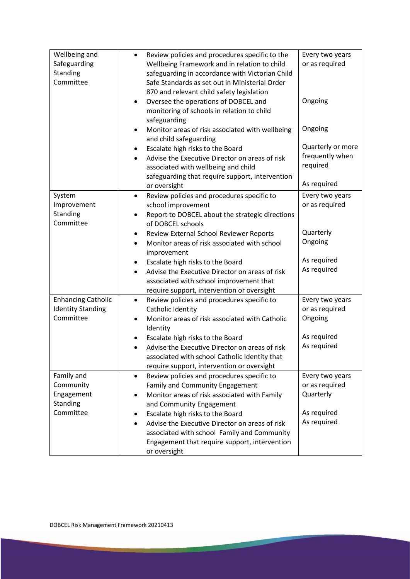| Wellbeing and<br>Safeguarding<br>Standing<br>Committee             | Review policies and procedures specific to the<br>$\bullet$<br>Wellbeing Framework and in relation to child<br>safeguarding in accordance with Victorian Child<br>Safe Standards as set out in Ministerial Order<br>870 and relevant child safety legislation<br>Oversee the operations of DOBCEL and<br>$\bullet$<br>monitoring of schools in relation to child<br>safeguarding<br>Monitor areas of risk associated with wellbeing<br>$\bullet$<br>and child safeguarding<br>Escalate high risks to the Board | Every two years<br>or as required<br>Ongoing<br>Ongoing<br>Quarterly or more |
|--------------------------------------------------------------------|----------------------------------------------------------------------------------------------------------------------------------------------------------------------------------------------------------------------------------------------------------------------------------------------------------------------------------------------------------------------------------------------------------------------------------------------------------------------------------------------------------------|------------------------------------------------------------------------------|
|                                                                    | ٠<br>Advise the Executive Director on areas of risk<br>$\bullet$<br>associated with wellbeing and child<br>safeguarding that require support, intervention<br>or oversight                                                                                                                                                                                                                                                                                                                                     | frequently when<br>required<br>As required                                   |
| System<br>Improvement<br>Standing<br>Committee                     | Review policies and procedures specific to<br>$\bullet$<br>school improvement<br>Report to DOBCEL about the strategic directions<br>٠<br>of DOBCEL schools                                                                                                                                                                                                                                                                                                                                                     | Every two years<br>or as required                                            |
|                                                                    | Review External School Reviewer Reports<br>Monitor areas of risk associated with school<br>improvement<br>Escalate high risks to the Board<br>Advise the Executive Director on areas of risk<br>associated with school improvement that                                                                                                                                                                                                                                                                        | Quarterly<br>Ongoing<br>As required<br>As required                           |
| <b>Enhancing Catholic</b><br><b>Identity Standing</b><br>Committee | require support, intervention or oversight<br>Review policies and procedures specific to<br>٠<br>Catholic Identity<br>Monitor areas of risk associated with Catholic<br>$\bullet$<br>Identity<br>Escalate high risks to the Board<br>Advise the Executive Director on areas of risk<br>associated with school Catholic Identity that<br>require support, intervention or oversight                                                                                                                             | Every two years<br>or as required<br>Ongoing<br>As required<br>As required   |
| Family and<br>Community<br>Engagement<br>Standing<br>Committee     | Review policies and procedures specific to<br>$\bullet$<br>Family and Community Engagement<br>Monitor areas of risk associated with Family<br>and Community Engagement<br>Escalate high risks to the Board<br>Advise the Executive Director on areas of risk<br>associated with school Family and Community<br>Engagement that require support, intervention<br>or oversight                                                                                                                                   | Every two years<br>or as required<br>Quarterly<br>As required<br>As required |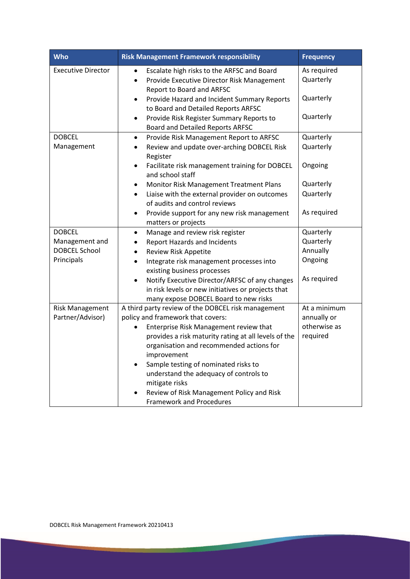| <b>Who</b>                | <b>Risk Management Framework responsibility</b>                                                                                                            | <b>Frequency</b>         |
|---------------------------|------------------------------------------------------------------------------------------------------------------------------------------------------------|--------------------------|
| <b>Executive Director</b> | Escalate high risks to the ARFSC and Board<br>$\bullet$<br>Provide Executive Director Risk Management<br>$\bullet$<br>Report to Board and ARFSC            | As required<br>Quarterly |
|                           | Provide Hazard and Incident Summary Reports<br>$\bullet$<br>to Board and Detailed Reports ARFSC                                                            | Quarterly                |
|                           | Provide Risk Register Summary Reports to<br>$\bullet$<br><b>Board and Detailed Reports ARFSC</b>                                                           | Quarterly                |
| <b>DOBCEL</b>             | Provide Risk Management Report to ARFSC<br>$\bullet$                                                                                                       | Quarterly                |
| Management                | Review and update over-arching DOBCEL Risk<br>$\bullet$<br>Register                                                                                        | Quarterly                |
|                           | Facilitate risk management training for DOBCEL<br>$\bullet$<br>and school staff                                                                            | Ongoing                  |
|                           | Monitor Risk Management Treatment Plans<br>$\bullet$                                                                                                       | Quarterly                |
|                           | Liaise with the external provider on outcomes<br>$\bullet$<br>of audits and control reviews                                                                | Quarterly                |
|                           | Provide support for any new risk management<br>$\bullet$<br>matters or projects                                                                            | As required              |
| <b>DOBCEL</b>             | Manage and review risk register<br>$\bullet$                                                                                                               | Quarterly                |
| Management and            | <b>Report Hazards and Incidents</b>                                                                                                                        | Quarterly                |
| <b>DOBCEL School</b>      | <b>Review Risk Appetite</b><br>$\bullet$                                                                                                                   | Annually                 |
| Principals                | Integrate risk management processes into<br>$\bullet$<br>existing business processes                                                                       | Ongoing                  |
|                           | Notify Executive Director/ARFSC of any changes<br>$\bullet$<br>in risk levels or new initiatives or projects that<br>many expose DOBCEL Board to new risks | As required              |
| <b>Risk Management</b>    | A third party review of the DOBCEL risk management                                                                                                         | At a minimum             |
| Partner/Advisor)          | policy and framework that covers:                                                                                                                          | annually or              |
|                           | Enterprise Risk Management review that                                                                                                                     | otherwise as             |
|                           | provides a risk maturity rating at all levels of the                                                                                                       | required                 |
|                           | organisation and recommended actions for                                                                                                                   |                          |
|                           | improvement                                                                                                                                                |                          |
|                           | Sample testing of nominated risks to<br>$\bullet$<br>understand the adequacy of controls to                                                                |                          |
|                           | mitigate risks                                                                                                                                             |                          |
|                           | Review of Risk Management Policy and Risk<br><b>Framework and Procedures</b>                                                                               |                          |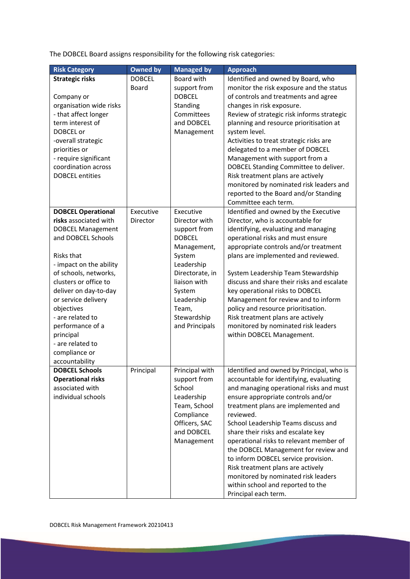The DOBCEL Board assigns responsibility for the following risk categories:

| <b>Risk Category</b>      | <b>Owned by</b> | <b>Managed by</b> | <b>Approach</b>                            |
|---------------------------|-----------------|-------------------|--------------------------------------------|
| <b>Strategic risks</b>    | <b>DOBCEL</b>   | Board with        | Identified and owned by Board, who         |
|                           | <b>Board</b>    | support from      | monitor the risk exposure and the status   |
| Company or                |                 | <b>DOBCEL</b>     | of controls and treatments and agree       |
| organisation wide risks   |                 | Standing          | changes in risk exposure.                  |
|                           |                 | Committees        | Review of strategic risk informs strategic |
| - that affect longer      |                 |                   |                                            |
| term interest of          |                 | and DOBCEL        | planning and resource prioritisation at    |
| DOBCEL or                 |                 | Management        | system level.                              |
| -overall strategic        |                 |                   | Activities to treat strategic risks are    |
| priorities or             |                 |                   | delegated to a member of DOBCEL            |
| - require significant     |                 |                   | Management with support from a             |
| coordination across       |                 |                   | DOBCEL Standing Committee to deliver.      |
| <b>DOBCEL</b> entities    |                 |                   | Risk treatment plans are actively          |
|                           |                 |                   | monitored by nominated risk leaders and    |
|                           |                 |                   | reported to the Board and/or Standing      |
|                           |                 |                   | Committee each term.                       |
| <b>DOBCEL Operational</b> | Executive       | Executive         | Identified and owned by the Executive      |
| risks associated with     | <b>Director</b> | Director with     | Director, who is accountable for           |
| <b>DOBCEL Management</b>  |                 | support from      | identifying, evaluating and managing       |
| and DOBCEL Schools        |                 | <b>DOBCEL</b>     | operational risks and must ensure          |
|                           |                 | Management,       | appropriate controls and/or treatment      |
| Risks that                |                 | System            | plans are implemented and reviewed.        |
| - impact on the ability   |                 | Leadership        |                                            |
| of schools, networks,     |                 | Directorate, in   | System Leadership Team Stewardship         |
| clusters or office to     |                 | liaison with      | discuss and share their risks and escalate |
| deliver on day-to-day     |                 | System            | key operational risks to DOBCEL            |
| or service delivery       |                 | Leadership        | Management for review and to inform        |
| objectives                |                 | Team,             | policy and resource prioritisation.        |
| - are related to          |                 | Stewardship       | Risk treatment plans are actively          |
|                           |                 |                   | monitored by nominated risk leaders        |
| performance of a          |                 | and Principals    |                                            |
| principal                 |                 |                   | within DOBCEL Management.                  |
| - are related to          |                 |                   |                                            |
| compliance or             |                 |                   |                                            |
| accountability            |                 |                   |                                            |
| <b>DOBCEL Schools</b>     | Principal       | Principal with    | Identified and owned by Principal, who is  |
| <b>Operational risks</b>  |                 | support from      | accountable for identifying, evaluating    |
| associated with           |                 | School            | and managing operational risks and must    |
| individual schools        |                 | Leadership        | ensure appropriate controls and/or         |
|                           |                 | Team, School      | treatment plans are implemented and        |
|                           |                 | Compliance        | reviewed.                                  |
|                           |                 | Officers, SAC     | School Leadership Teams discuss and        |
|                           |                 | and DOBCEL        | share their risks and escalate key         |
|                           |                 | Management        | operational risks to relevant member of    |
|                           |                 |                   | the DOBCEL Management for review and       |
|                           |                 |                   | to inform DOBCEL service provision.        |
|                           |                 |                   | Risk treatment plans are actively          |
|                           |                 |                   | monitored by nominated risk leaders        |
|                           |                 |                   | within school and reported to the          |
|                           |                 |                   | Principal each term.                       |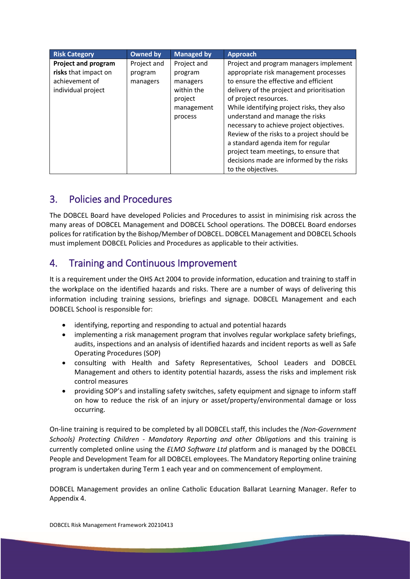| <b>Risk Category</b>                                                                       | <b>Owned by</b>                    | <b>Managed by</b>                                | <b>Approach</b>                                                                                                                                                                                                                                                                                                                                   |
|--------------------------------------------------------------------------------------------|------------------------------------|--------------------------------------------------|---------------------------------------------------------------------------------------------------------------------------------------------------------------------------------------------------------------------------------------------------------------------------------------------------------------------------------------------------|
| <b>Project and program</b><br>risks that impact on<br>achievement of<br>individual project | Project and<br>program<br>managers | Project and<br>program<br>managers<br>within the | Project and program managers implement<br>appropriate risk management processes<br>to ensure the effective and efficient<br>delivery of the project and prioritisation                                                                                                                                                                            |
|                                                                                            |                                    | project<br>management<br>process                 | of project resources.<br>While identifying project risks, they also<br>understand and manage the risks<br>necessary to achieve project objectives.<br>Review of the risks to a project should be<br>a standard agenda item for regular<br>project team meetings, to ensure that<br>decisions made are informed by the risks<br>to the objectives. |

# 3. Policies and Procedures

The DOBCEL Board have developed Policies and Procedures to assist in minimising risk across the many areas of DOBCEL Management and DOBCEL School operations. The DOBCEL Board endorses polices for ratification by the Bishop/Member of DOBCEL. DOBCEL Management and DOBCEL Schools must implement DOBCEL Policies and Procedures as applicable to their activities.

# 4. Training and Continuous Improvement

It is a requirement under the OHS Act 2004 to provide information, education and training to staff in the workplace on the identified hazards and risks. There are a number of ways of delivering this information including training sessions, briefings and signage. DOBCEL Management and each DOBCEL School is responsible for:

- identifying, reporting and responding to actual and potential hazards
- implementing a risk management program that involves regular workplace safety briefings, audits, inspections and an analysis of identified hazards and incident reports as well as Safe Operating Procedures (SOP)
- consulting with Health and Safety Representatives, School Leaders and DOBCEL Management and others to identity potential hazards, assess the risks and implement risk control measures
- providing SOP's and installing safety switches, safety equipment and signage to inform staff on how to reduce the risk of an injury or asset/property/environmental damage or loss occurring.

On-line training is required to be completed by all DOBCEL staff, this includes the *(Non-Government Schools) Protecting Children - Mandatory Reporting and other Obligation*s and this training is currently completed online using the *ELMO Software Ltd* platform and is managed by the DOBCEL People and Development Team for all DOBCEL employees. The Mandatory Reporting online training program is undertaken during Term 1 each year and on commencement of employment.

DOBCEL Management provides an online Catholic Education Ballarat Learning Manager. Refer to Appendix 4.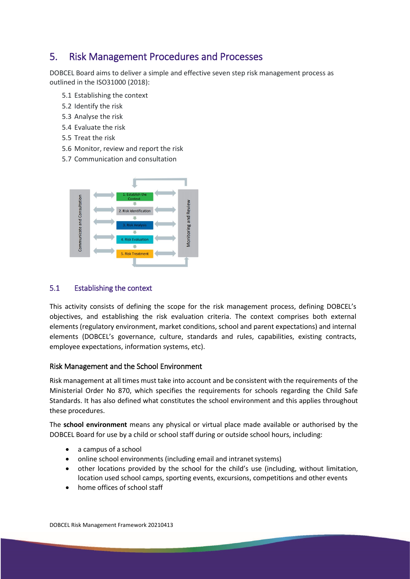# 5. Risk Management Procedures and Processes

DOBCEL Board aims to deliver a simple and effective seven step risk management process as outlined in the ISO31000 (2018):

- 5.1 Establishing the context
- 5.2 Identify the risk
- 5.3 Analyse the risk
- 5.4 Evaluate the risk
- 5.5 Treat the risk
- 5.6 Monitor, review and report the risk
- 5.7 Communication and consultation



#### 5.1 Establishing the context

This activity consists of defining the scope for the risk management process, defining DOBCEL's objectives, and establishing the risk evaluation criteria. The context comprises both external elements (regulatory environment, market conditions, school and parent expectations) and internal elements (DOBCEL's governance, culture, standards and rules, capabilities, existing contracts, employee expectations, information systems, etc).

#### Risk Management and the School Environment

Risk management at all times must take into account and be consistent with the requirements of the Ministerial Order No 870, which specifies the requirements for schools regarding the Child Safe Standards. It has also defined what constitutes the school environment and this applies throughout these procedures.

The **school environment** means any physical or virtual place made available or authorised by the DOBCEL Board for use by a child or school staff during or outside school hours, including:

- a campus of a school
- online school environments (including email and intranet systems)
- other locations provided by the school for the child's use (including, without limitation, location used school camps, sporting events, excursions, competitions and other events
- home offices of school staff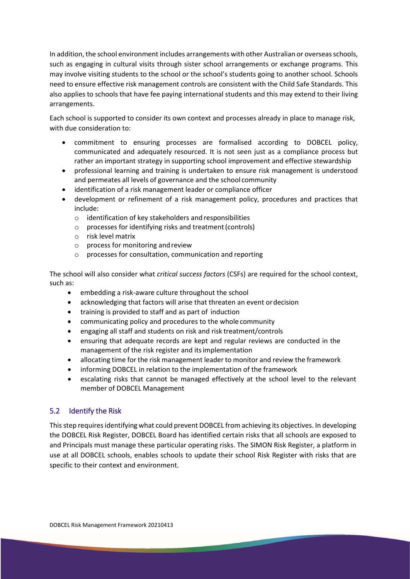In addition, the school environment includes arrangements with other Australian or overseas schools, such as engaging in cultural visits through sister school arrangements or exchange programs. This may involve visiting students to the school or the school's students going to another school. Schools need to ensure effective risk management controls are consistent with the Child Safe Standards. This also applies to schools that have fee paying international students and this may extend to their living arrangements.

Each school is supported to consider its own context and processes already in place to manage risk, with due consideration to:

- commitment to ensuring processes are formalised according to DOBCEL policy, communicated and adequately resourced. It is not seen just as a compliance process but rather an important strategy in supporting school improvement and effective stewardship
- professional learning and training is undertaken to ensure risk management is understood and permeates all levels of governance and the school community
- identification of a risk management leader or compliance officer
- development or refinement of a risk management policy, procedures and practices that include:
	- o identification of key stakeholders and responsibilities
	- o processes for identifying risks and treatment(controls)
	- o risk level matrix
	- o process for monitoring andreview
	- o processes for consultation, communication and reporting

The school will also consider what *critical success factors* (CSFs) are required for the school context, such as:

- embedding a risk-aware culture throughout the school
- acknowledging that factors will arise that threaten an event ordecision
- training is provided to staff and as part of induction
- communicating policy and procedures to the whole community
- engaging all staff and students on risk and risk treatment/controls
- ensuring that adequate records are kept and regular reviews are conducted in the management of the risk register and itsimplementation
- allocating time for the risk management leader to monitor and review the framework
- informing DOBCEL in relation to the implementation of the framework
- escalating risks that cannot be managed effectively at the school level to the relevant member of DOBCEL Management

#### 5.2 Identify the Risk

This step requires identifying what could prevent DOBCEL from achieving its objectives. In developing the DOBCEL Risk Register, DOBCEL Board has identified certain risks that all schools are exposed to and Principals must manage these particular operating risks. The SIMON Risk Register, a platform in use at all DOBCEL schools, enables schools to update their school Risk Register with risks that are specific to their context and environment.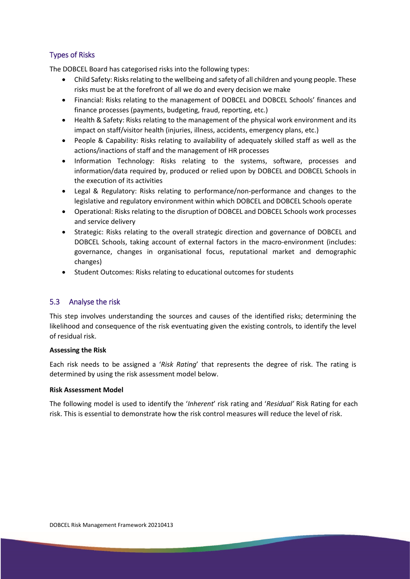#### Types of Risks

The DOBCEL Board has categorised risks into the following types:

- Child Safety: Risks relating to the wellbeing and safety of all children and young people. These risks must be at the forefront of all we do and every decision we make
- Financial: Risks relating to the management of DOBCEL and DOBCEL Schools' finances and finance processes (payments, budgeting, fraud, reporting, etc.)
- Health & Safety: Risks relating to the management of the physical work environment and its impact on staff/visitor health (injuries, illness, accidents, emergency plans, etc.)
- People & Capability: Risks relating to availability of adequately skilled staff as well as the actions/inactions of staff and the management of HR processes
- Information Technology: Risks relating to the systems, software, processes and information/data required by, produced or relied upon by DOBCEL and DOBCEL Schools in the execution of its activities
- Legal & Regulatory: Risks relating to performance/non-performance and changes to the legislative and regulatory environment within which DOBCEL and DOBCEL Schools operate
- Operational: Risks relating to the disruption of DOBCEL and DOBCEL Schools work processes and service delivery
- Strategic: Risks relating to the overall strategic direction and governance of DOBCEL and DOBCEL Schools, taking account of external factors in the macro-environment (includes: governance, changes in organisational focus, reputational market and demographic changes)
- Student Outcomes: Risks relating to educational outcomes for students

#### 5.3 Analyse the risk

This step involves understanding the sources and causes of the identified risks; determining the likelihood and consequence of the risk eventuating given the existing controls, to identify the level of residual risk.

#### **Assessing the Risk**

Each risk needs to be assigned a '*Risk Rating*' that represents the degree of risk. The rating is determined by using the risk assessment model below.

#### **Risk Assessment Model**

The following model is used to identify the '*Inherent*' risk rating and '*Residual'* Risk Rating for each risk. This is essential to demonstrate how the risk control measures will reduce the level of risk.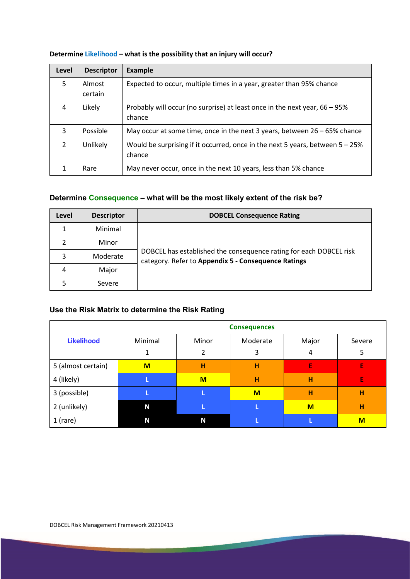| Level         | <b>Descriptor</b> | <b>Example</b>                                                                             |
|---------------|-------------------|--------------------------------------------------------------------------------------------|
| 5             | Almost<br>certain | Expected to occur, multiple times in a year, greater than 95% chance                       |
| 4             | Likely            | Probably will occur (no surprise) at least once in the next year, 66 – 95%<br>chance       |
| 3             | Possible          | May occur at some time, once in the next 3 years, between $26 - 65\%$ chance               |
| $\mathcal{P}$ | Unlikely          | Would be surprising if it occurred, once in the next 5 years, between $5 - 25\%$<br>chance |
|               | Rare              | May never occur, once in the next 10 years, less than 5% chance                            |

#### **Determine Likelihood – what is the possibility that an injury will occur?**

### **Determine Consequence – what will be the most likely extent of the risk be?**

| Level | <b>Descriptor</b> | <b>DOBCEL Consequence Rating</b>                                                                                          |
|-------|-------------------|---------------------------------------------------------------------------------------------------------------------------|
| 1     | Minimal           |                                                                                                                           |
| 2     | Minor             |                                                                                                                           |
| 3     | Moderate          | DOBCEL has established the consequence rating for each DOBCEL risk<br>category. Refer to Appendix 5 - Consequence Ratings |
| 4     | Major             |                                                                                                                           |
|       | Severe            |                                                                                                                           |

### **Use the Risk Matrix to determine the Risk Rating**

|                    | <b>Consequences</b> |       |          |       |        |
|--------------------|---------------------|-------|----------|-------|--------|
| <b>Likelihood</b>  | Minimal             | Minor | Moderate | Major | Severe |
|                    |                     | 2     | 3        | 4     | 5      |
| 5 (almost certain) | M                   | н     | н        | E     | E      |
| 4 (likely)         |                     | M     | н        | н     | E      |
| 3 (possible)       |                     |       | M        | н     | н      |
| 2 (unlikely)       | N                   |       |          | $M$   | н      |
| $1$ (rare)         | N                   | N     |          |       | M      |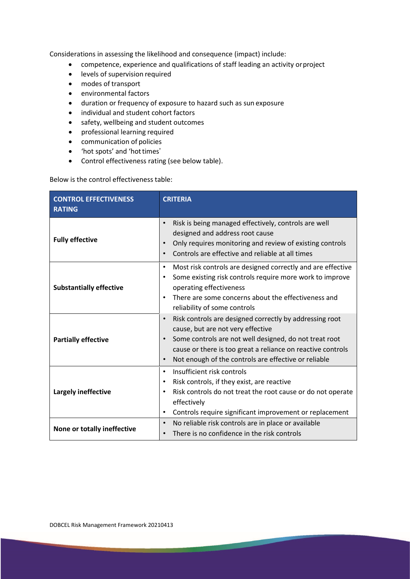Considerations in assessing the likelihood and consequence (impact) include:

- competence, experience and qualifications of staff leading an activity orproject
- levels of supervision required
- modes of transport
- environmental factors
- duration or frequency of exposure to hazard such as sun exposure
- individual and student cohort factors
- safety, wellbeing and student outcomes
- professional learning required
- communication of policies
- 'hot spots' and 'hottimes'
- Control effectiveness rating (see below table).

Below is the control effectiveness table:

| <b>CONTROL EFFECTIVENESS</b><br><b>RATING</b> | <b>CRITERIA</b>                                                                                                                                                                                                                                                                            |
|-----------------------------------------------|--------------------------------------------------------------------------------------------------------------------------------------------------------------------------------------------------------------------------------------------------------------------------------------------|
| <b>Fully effective</b>                        | Risk is being managed effectively, controls are well<br>designed and address root cause<br>Only requires monitoring and review of existing controls<br>Controls are effective and reliable at all times<br>$\bullet$                                                                       |
| <b>Substantially effective</b>                | Most risk controls are designed correctly and are effective<br>$\bullet$<br>Some existing risk controls require more work to improve<br>operating effectiveness<br>There are some concerns about the effectiveness and<br>reliability of some controls                                     |
| <b>Partially effective</b>                    | Risk controls are designed correctly by addressing root<br>$\bullet$<br>cause, but are not very effective<br>Some controls are not well designed, do not treat root<br>cause or there is too great a reliance on reactive controls<br>Not enough of the controls are effective or reliable |
| <b>Largely ineffective</b>                    | Insufficient risk controls<br>$\bullet$<br>Risk controls, if they exist, are reactive<br>Risk controls do not treat the root cause or do not operate<br>effectively<br>Controls require significant improvement or replacement<br>$\bullet$                                                |
| None or totally ineffective                   | No reliable risk controls are in place or available<br>$\bullet$<br>There is no confidence in the risk controls                                                                                                                                                                            |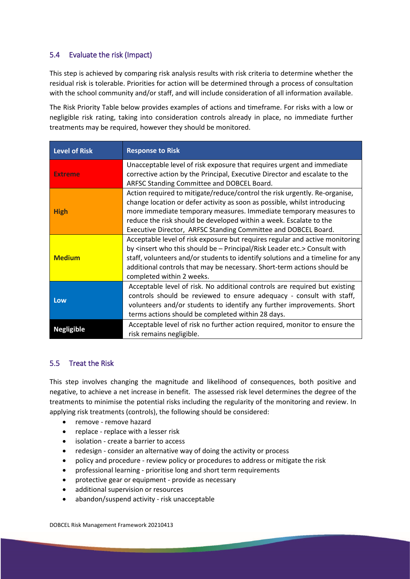#### 5.4 Evaluate the risk (Impact)

This step is achieved by comparing risk analysis results with risk criteria to determine whether the residual risk is tolerable. Priorities for action will be determined through a process of consultation with the school community and/or staff, and will include consideration of all information available.

The Risk Priority Table below provides examples of actions and timeframe. For risks with a low or negligible risk rating, taking into consideration controls already in place, no immediate further treatments may be required, however they should be monitored.

| <b>Level of Risk</b> | <b>Response to Risk</b>                                                                                                                                                                                                                                                                                                                                                                   |
|----------------------|-------------------------------------------------------------------------------------------------------------------------------------------------------------------------------------------------------------------------------------------------------------------------------------------------------------------------------------------------------------------------------------------|
| <b>Extreme</b>       | Unacceptable level of risk exposure that requires urgent and immediate<br>corrective action by the Principal, Executive Director and escalate to the<br>ARFSC Standing Committee and DOBCEL Board.                                                                                                                                                                                        |
| <b>High</b>          | Action required to mitigate/reduce/control the risk urgently. Re-organise,<br>change location or defer activity as soon as possible, whilst introducing<br>more immediate temporary measures. Immediate temporary measures to<br>reduce the risk should be developed within a week. Escalate to the<br>Executive Director, ARFSC Standing Committee and DOBCEL Board.                     |
| <b>Medium</b>        | Acceptable level of risk exposure but requires regular and active monitoring<br>by <insert -="" be="" etc.="" leader="" principal="" risk="" should="" this="" who=""> Consult with<br/>staff, volunteers and/or students to identify solutions and a timeline for any<br/>additional controls that may be necessary. Short-term actions should be<br/>completed within 2 weeks.</insert> |
| Low                  | Acceptable level of risk. No additional controls are required but existing<br>controls should be reviewed to ensure adequacy - consult with staff,<br>volunteers and/or students to identify any further improvements. Short<br>terms actions should be completed within 28 days.                                                                                                         |
| <b>Negligible</b>    | Acceptable level of risk no further action required, monitor to ensure the<br>risk remains negligible.                                                                                                                                                                                                                                                                                    |

#### 5.5 Treat the Risk

This step involves changing the magnitude and likelihood of consequences, both positive and negative, to achieve a net increase in benefit. The assessed risk level determines the degree of the treatments to minimise the potential risks including the regularity of the monitoring and review. In applying risk treatments (controls), the following should be considered:

- remove remove hazard
- replace replace with a lesser risk
- isolation create a barrier to access
- redesign consider an alternative way of doing the activity or process
- policy and procedure review policy or procedures to address or mitigate the risk
- professional learning prioritise long and short term requirements
- protective gear or equipment provide as necessary
- additional supervision or resources
- abandon/suspend activity risk unacceptable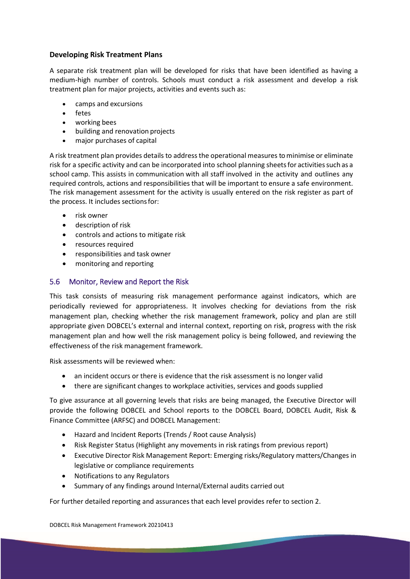#### **Developing Risk Treatment Plans**

A separate risk treatment plan will be developed for risks that have been identified as having a medium-high number of controls. Schools must conduct a risk assessment and develop a risk treatment plan for major projects, activities and events such as:

- camps and excursions
- fetes
- working bees
- building and renovation projects
- major purchases of capital

A risk treatment plan provides details to address the operational measures to minimise or eliminate risk for a specific activity and can be incorporated into school planning sheetsfor activitiessuch as a school camp. This assists in communication with all staff involved in the activity and outlines any required controls, actions and responsibilities that will be important to ensure a safe environment. The risk management assessment for the activity is usually entered on the risk register as part of the process. It includes sectionsfor:

- risk owner
- description of risk
- controls and actions to mitigate risk
- resources required
- responsibilities and task owner
- monitoring and reporting

#### 5.6 Monitor, Review and Report the Risk

This task consists of measuring risk management performance against indicators, which are periodically reviewed for appropriateness. It involves checking for deviations from the risk management plan, checking whether the risk management framework, policy and plan are still appropriate given DOBCEL's external and internal context, reporting on risk, progress with the risk management plan and how well the risk management policy is being followed, and reviewing the effectiveness of the risk management framework.

Risk assessments will be reviewed when:

- an incident occurs or there is evidence that the risk assessment is no longer valid
- there are significant changes to workplace activities, services and goods supplied

To give assurance at all governing levels that risks are being managed, the Executive Director will provide the following DOBCEL and School reports to the DOBCEL Board, DOBCEL Audit, Risk & Finance Committee (ARFSC) and DOBCEL Management:

- Hazard and Incident Reports (Trends / Root cause Analysis)
- Risk Register Status (Highlight any movements in risk ratings from previous report)
- Executive Director Risk Management Report: Emerging risks/Regulatory matters/Changes in legislative or compliance requirements
- Notifications to any Regulators
- Summary of any findings around Internal/External audits carried out

For further detailed reporting and assurances that each level provides refer to section 2.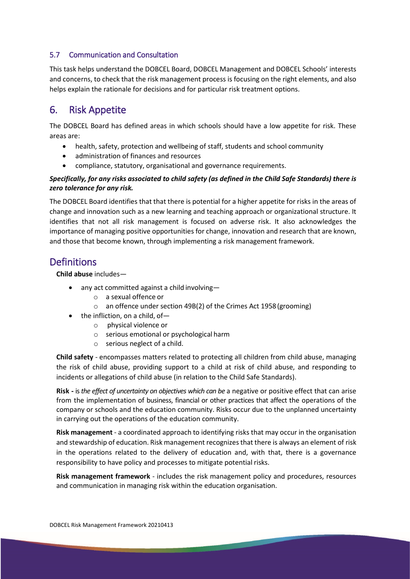#### 5.7 Communication and Consultation

This task helps understand the DOBCEL Board, DOBCEL Management and DOBCEL Schools' interests and concerns, to check that the risk management process is focusing on the right elements, and also helps explain the rationale for decisions and for particular risk treatment options.

## 6. Risk Appetite

The DOBCEL Board has defined areas in which schools should have a low appetite for risk. These areas are:

- health, safety, protection and wellbeing of staff, students and school community
- administration of finances and resources
- compliance, statutory, organisational and governance requirements.

#### *Specifically, for any risks associated to child safety (as defined in the Child Safe Standards) there is zero tolerance for any risk.*

The DOBCEL Board identifies that that there is potential for a higher appetite for risks in the areas of change and innovation such as a new learning and teaching approach or organizational structure. It identifies that not all risk management is focused on adverse risk. It also acknowledges the importance of managing positive opportunities for change, innovation and research that are known, and those that become known, through implementing a risk management framework.

### **Definitions**

**Child abuse** includes—

- any act committed against a child involving
	- o a sexual offence or
	- o an offence under section 49B(2) of the Crimes Act 1958(grooming)
- the infliction, on a child, of
	- o physical violence or
	- o serious emotional or psychological harm
	- o serious neglect of a child.

**Child safety** - encompasses matters related to protecting all children from child abuse, managing the risk of child abuse, providing support to a child at risk of child abuse, and responding to incidents or allegations of child abuse (in relation to the Child Safe Standards).

**Risk -** is*the effect of uncertainty on objectives which can be* a negative or positive effect that can arise from the implementation of business, financial or other practices that affect the operations of the company or schools and the education community. Risks occur due to the unplanned uncertainty in carrying out the operations of the education community.

**Risk management** - a coordinated approach to identifying risks that may occur in the organisation and stewardship of education. Risk management recognizesthat there is always an element of risk in the operations related to the delivery of education and, with that, there is a governance responsibility to have policy and processes to mitigate potential risks.

**Risk management framework** - includes the risk management policy and procedures, resources and communication in managing risk within the education organisation.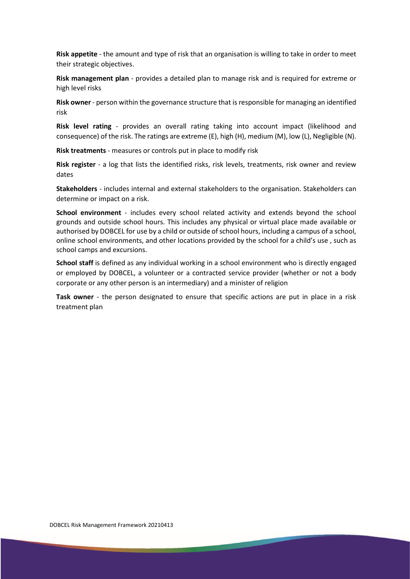**Risk appetite** - the amount and type of risk that an organisation is willing to take in order to meet their strategic objectives.

**Risk management plan** - provides a detailed plan to manage risk and is required for extreme or high level risks

**Risk owner** - person within the governance structure that is responsible for managing an identified risk

**Risk level rating** - provides an overall rating taking into account impact (likelihood and consequence) of the risk. The ratings are extreme (E), high (H), medium (M), low (L), Negligible (N).

**Risk treatments** - measures or controls put in place to modify risk

**Risk register** - a log that lists the identified risks, risk levels, treatments, risk owner and review dates

**Stakeholders** - includes internal and external stakeholders to the organisation. Stakeholders can determine or impact on a risk.

**School environment** - includes every school related activity and extends beyond the school grounds and outside school hours. This includes any physical or virtual place made available or authorised by DOBCEL for use by a child or outside of school hours, including a campus of a school, online school environments, and other locations provided by the school for a child's use , such as school camps and excursions.

**School staff** is defined as any individual working in a school environment who is directly engaged or employed by DOBCEL, a volunteer or a contracted service provider (whether or not a body corporate or any other person is an intermediary) and a minister of religion

**Task owner** - the person designated to ensure that specific actions are put in place in a risk treatment plan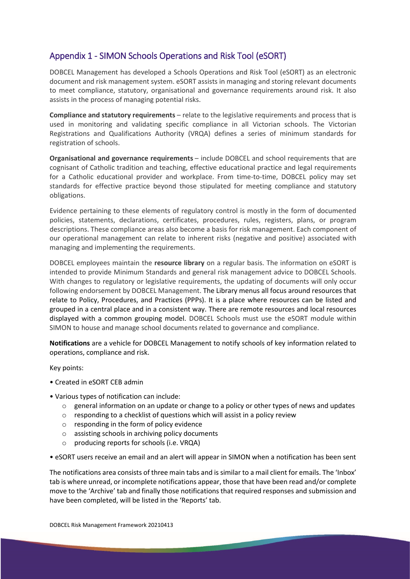### Appendix 1 - SIMON Schools Operations and Risk Tool (eSORT)

DOBCEL Management has developed a Schools Operations and Risk Tool (eSORT) as an electronic document and risk management system. eSORT assists in managing and storing relevant documents to meet compliance, statutory, organisational and governance requirements around risk. It also assists in the process of managing potential risks.

**Compliance and statutory requirements** – relate to the legislative requirements and process that is used in monitoring and validating specific compliance in all Victorian schools. The Victorian Registrations and Qualifications Authority (VRQA) defines a series of minimum standards for registration of schools.

**Organisational and governance requirements** – include DOBCEL and school requirements that are cognisant of Catholic tradition and teaching, effective educational practice and legal requirements for a Catholic educational provider and workplace. From time-to-time, DOBCEL policy may set standards for effective practice beyond those stipulated for meeting compliance and statutory obligations.

Evidence pertaining to these elements of regulatory control is mostly in the form of documented policies, statements, declarations, certificates, procedures, rules, registers, plans, or program descriptions. These compliance areas also become a basis for risk management. Each component of our operational management can relate to inherent risks (negative and positive) associated with managing and implementing the requirements.

DOBCEL employees maintain the **resource library** on a regular basis. The information on eSORT is intended to provide Minimum Standards and general risk management advice to DOBCEL Schools. With changes to regulatory or legislative requirements, the updating of documents will only occur following endorsement by DOBCEL Management. The Library menus all focus around resources that relate to Policy, Procedures, and Practices (PPPs). It is a place where resources can be listed and grouped in a central place and in a consistent way. There are remote resources and local resources displayed with a common grouping model. DOBCEL Schools must use the eSORT module within SIMON to house and manage school documents related to governance and compliance.

**Notifications** are a vehicle for DOBCEL Management to notify schools of key information related to operations, compliance and risk.

Key points:

- Created in eSORT CEB admin
- Various types of notification can include:
	- $\circ$  general information on an update or change to a policy or other types of news and updates
	- o responding to a checklist of questions which will assist in a policy review
	- o responding in the form of policy evidence
	- o assisting schools in archiving policy documents
	- o producing reports for schools (i.e. VRQA)

• eSORT users receive an email and an alert will appear in SIMON when a notification has been sent

The notifications area consists of three main tabs and is similar to a mail client for emails. The 'Inbox' tab is where unread, or incomplete notifications appear, those that have been read and/or complete move to the 'Archive' tab and finally those notifications that required responses and submission and have been completed, will be listed in the 'Reports' tab.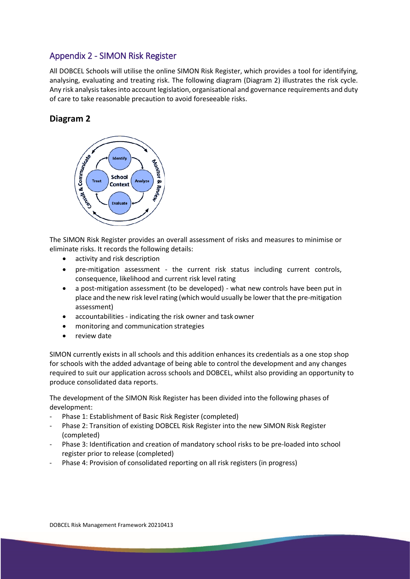### Appendix 2 - SIMON Risk Register

All DOBCEL Schools will utilise the online SIMON Risk Register, which provides a tool for identifying, analysing, evaluating and treating risk. The following diagram (Diagram 2) illustrates the risk cycle. Any risk analysis takes into account legislation, organisational and governance requirements and duty of care to take reasonable precaution to avoid foreseeable risks.

### **Diagram 2**



The SIMON Risk Register provides an overall assessment of risks and measures to minimise or eliminate risks. It records the following details:

- activity and risk description
- pre-mitigation assessment the current risk status including current controls, consequence, likelihood and current risk level rating
- a post-mitigation assessment (to be developed) what new controls have been put in place and the new risk level rating (which would usually be lower that the pre-mitigation assessment)
- accountabilities indicating the risk owner and task owner
- monitoring and communication strategies
- review date

SIMON currently exists in all schools and this addition enhances its credentials as a one stop shop for schools with the added advantage of being able to control the development and any changes required to suit our application across schools and DOBCEL, whilst also providing an opportunity to produce consolidated data reports.

The development of the SIMON Risk Register has been divided into the following phases of development:

- Phase 1: Establishment of Basic Risk Register (completed)
- Phase 2: Transition of existing DOBCEL Risk Register into the new SIMON Risk Register (completed)
- Phase 3: Identification and creation of mandatory school risks to be pre-loaded into school register prior to release (completed)
- Phase 4: Provision of consolidated reporting on all risk registers (in progress)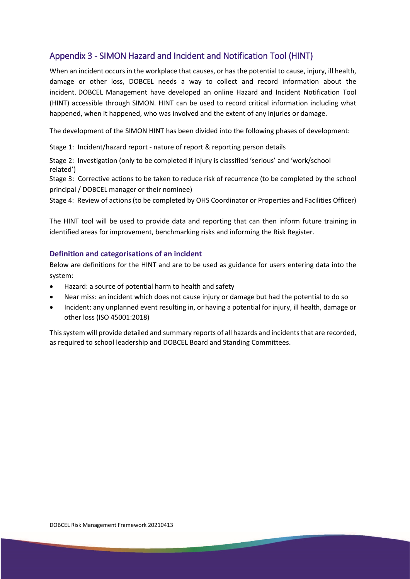### Appendix 3 - SIMON Hazard and Incident and Notification Tool (HINT)

When an incident occurs in the workplace that causes, or has the potential to cause, injury, ill health, damage or other loss, DOBCEL needs a way to collect and record information about the incident. DOBCEL Management have developed an online Hazard and Incident Notification Tool (HINT) accessible through SIMON. HINT can be used to record critical information including what happened, when it happened, who was involved and the extent of any injuries or damage.

The development of the SIMON HINT has been divided into the following phases of development:

Stage 1: Incident/hazard report - nature of report & reporting person details

Stage 2: Investigation (only to be completed if injury is classified 'serious' and 'work/school related')

Stage 3: Corrective actions to be taken to reduce risk of recurrence (to be completed by the school principal / DOBCEL manager or their nominee)

Stage 4: Review of actions (to be completed by OHS Coordinator or Properties and Facilities Officer)

The HINT tool will be used to provide data and reporting that can then inform future training in identified areas for improvement, benchmarking risks and informing the Risk Register.

#### **Definition and categorisations of an incident**

Below are definitions for the HINT and are to be used as guidance for users entering data into the system:

- Hazard: a source of potential harm to health and safety
- Near miss: an incident which does not cause injury or damage but had the potential to do so
- Incident: any unplanned event resulting in, or having a potential for injury, ill health, damage or other loss (ISO 45001:2018)

This system will provide detailed and summary reports of all hazards and incidents that are recorded, as required to school leadership and DOBCEL Board and Standing Committees.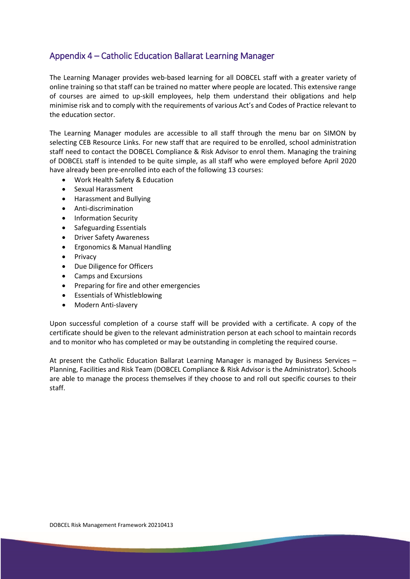### Appendix 4 – Catholic Education Ballarat Learning Manager

The Learning Manager provides web-based learning for all DOBCEL staff with a greater variety of online training so that staff can be trained no matter where people are located. This extensive range of courses are aimed to up-skill employees, help them understand their obligations and help minimise risk and to comply with the requirements of various Act's and Codes of Practice relevant to the education sector.

The Learning Manager modules are accessible to all staff through the menu bar on SIMON by selecting CEB Resource Links. For new staff that are required to be enrolled, school administration staff need to contact the DOBCEL Compliance & Risk Advisor to enrol them. Managing the training of DOBCEL staff is intended to be quite simple, as all staff who were employed before April 2020 have already been pre-enrolled into each of the following 13 courses:

- Work Health Safety & Education
- Sexual Harassment
- Harassment and Bullying
- Anti-discrimination
- Information Security
- Safeguarding Essentials
- Driver Safety Awareness
- Ergonomics & Manual Handling
- Privacy
- Due Diligence for Officers
- Camps and Excursions
- Preparing for fire and other emergencies
- Essentials of Whistleblowing
- Modern Anti-slavery

Upon successful completion of a course staff will be provided with a certificate. A copy of the certificate should be given to the relevant administration person at each school to maintain records and to monitor who has completed or may be outstanding in completing the required course.

At present the Catholic Education Ballarat Learning Manager is managed by Business Services – Planning, Facilities and Risk Team (DOBCEL Compliance & Risk Advisor is the Administrator). Schools are able to manage the process themselves if they choose to and roll out specific courses to their staff.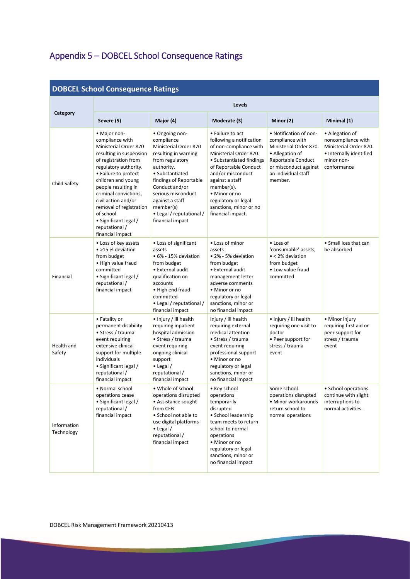# Appendix 5 – DOBCEL School Consequence Ratings

| <b>DOBCEL School Consequence Ratings</b> |                                                                                                                                                                                                                                                                                                                                                                   |                                                                                                                                                                                                                                                                                     |                                                                                                                                                                                                                                                                                                    |                                                                                                                                                                         |                                                                                                                         |  |  |
|------------------------------------------|-------------------------------------------------------------------------------------------------------------------------------------------------------------------------------------------------------------------------------------------------------------------------------------------------------------------------------------------------------------------|-------------------------------------------------------------------------------------------------------------------------------------------------------------------------------------------------------------------------------------------------------------------------------------|----------------------------------------------------------------------------------------------------------------------------------------------------------------------------------------------------------------------------------------------------------------------------------------------------|-------------------------------------------------------------------------------------------------------------------------------------------------------------------------|-------------------------------------------------------------------------------------------------------------------------|--|--|
|                                          | Levels                                                                                                                                                                                                                                                                                                                                                            |                                                                                                                                                                                                                                                                                     |                                                                                                                                                                                                                                                                                                    |                                                                                                                                                                         |                                                                                                                         |  |  |
| Category                                 | Severe (5)                                                                                                                                                                                                                                                                                                                                                        | Major (4)                                                                                                                                                                                                                                                                           | Moderate (3)                                                                                                                                                                                                                                                                                       | Minor (2)                                                                                                                                                               | Minimal (1)                                                                                                             |  |  |
| Child Safety                             | • Major non-<br>compliance with<br>Ministerial Order 870<br>resulting in suspension<br>of registration from<br>regulatory authority.<br>• Failure to protect<br>children and young<br>people resulting in<br>criminal convictions,<br>civil action and/or<br>removal of registration<br>of school.<br>• Significant legal /<br>reputational /<br>financial impact | • Ongoing non-<br>compliance<br>Ministerial Order 870<br>resulting in warning<br>from regulatory<br>authority.<br>• Substantiated<br>findings of Reportable<br>Conduct and/or<br>serious misconduct<br>against a staff<br>member(s)<br>• Legal / reputational /<br>financial impact | • Failure to act<br>following a notification<br>of non-compliance with<br>Ministerial Order 870.<br>• Substantiated findings<br>of Reportable Conduct<br>and/or misconduct<br>against a staff<br>member(s).<br>• Minor or no<br>regulatory or legal<br>sanctions, minor or no<br>financial impact. | • Notification of non-<br>compliance with<br>Ministerial Order 870.<br>• Allegation of<br>Reportable Conduct<br>or misconduct against<br>an individual staff<br>member. | • Allegation of<br>noncompliance with<br>Ministerial Order 870.<br>• Internally identified<br>minor non-<br>conformance |  |  |
| Financial                                | • Loss of key assets<br>• >15 % deviation<br>from budget<br>• High value fraud<br>committed<br>• Significant legal /<br>reputational /<br>financial impact                                                                                                                                                                                                        | • Loss of significant<br>assets<br>• 6% - 15% deviation<br>from budget<br>• External audit<br>qualification on<br>accounts<br>• High end fraud<br>committed<br>• Legal / reputational /<br>financial impact                                                                         | • Loss of minor<br>assets<br>• 2% - 5% deviation<br>from budget<br>• External audit<br>management letter<br>adverse comments<br>• Minor or no<br>regulatory or legal<br>sanctions, minor or<br>no financial impact                                                                                 | • Loss of<br>'consumable' assets,<br>$\bullet$ < 2% deviation<br>from budget<br>• Low value fraud<br>committed                                                          | • Small loss that can<br>be absorbed                                                                                    |  |  |
| Health and<br>Safety                     | • Fatality or<br>permanent disability<br>• Stress / trauma<br>event requiring<br>extensive clinical<br>support for multiple<br>individuals<br>• Significant legal /<br>reputational /<br>financial impact                                                                                                                                                         | • Injury / ill health<br>requiring inpatient<br>hospital admission<br>• Stress / trauma<br>event requiring<br>ongoing clinical<br>support<br>$\bullet$ Legal /<br>reputational /<br>financial impact                                                                                | Injury / ill health<br>requiring external<br>medical attention<br>• Stress / trauma<br>event requiring<br>professional support<br>• Minor or no<br>regulatory or legal<br>sanctions, minor or<br>no financial impact                                                                               | • Injury / ill health<br>requiring one visit to<br>doctor<br>• Peer support for<br>stress / trauma<br>event                                                             | • Minor injury<br>requiring first aid or<br>peer support for<br>stress / trauma<br>event                                |  |  |
| Information<br>Technology                | • Normal school<br>operations cease<br>• Significant legal /<br>reputational /<br>financial impact                                                                                                                                                                                                                                                                | • Whole of school<br>operations disrupted<br>• Assistance sought<br>from CEB<br>• School not able to<br>use digital platforms<br>$\bullet$ Legal /<br>reputational /<br>financial impact                                                                                            | • Key school<br>operations<br>temporarily<br>disrupted<br>• School leadership<br>team meets to return<br>school to normal<br>operations<br>• Minor or no<br>regulatory or legal<br>sanctions, minor or<br>no financial impact                                                                      | Some school<br>operations disrupted<br>• Minor workarounds<br>return school to<br>normal operations                                                                     | • School operations<br>continue with slight<br>interruptions to<br>normal activities.                                   |  |  |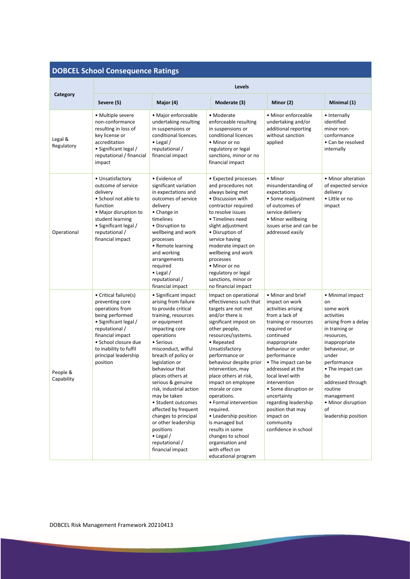# **DOBCEL School Consequence Ratings**

| Category               | Levels                                                                                                                                                                                                                              |                                                                                                                                                                                                                                                                                                                                                                                                                                                                                                   |                                                                                                                                                                                                                                                                                                                                                                                                                                                                                                                                    |                                                                                                                                                                                                                                                                                                                                                                                                             |                                                                                                                                                                                                                                                                                                |  |  |
|------------------------|-------------------------------------------------------------------------------------------------------------------------------------------------------------------------------------------------------------------------------------|---------------------------------------------------------------------------------------------------------------------------------------------------------------------------------------------------------------------------------------------------------------------------------------------------------------------------------------------------------------------------------------------------------------------------------------------------------------------------------------------------|------------------------------------------------------------------------------------------------------------------------------------------------------------------------------------------------------------------------------------------------------------------------------------------------------------------------------------------------------------------------------------------------------------------------------------------------------------------------------------------------------------------------------------|-------------------------------------------------------------------------------------------------------------------------------------------------------------------------------------------------------------------------------------------------------------------------------------------------------------------------------------------------------------------------------------------------------------|------------------------------------------------------------------------------------------------------------------------------------------------------------------------------------------------------------------------------------------------------------------------------------------------|--|--|
|                        | Severe (5)                                                                                                                                                                                                                          | Major (4)                                                                                                                                                                                                                                                                                                                                                                                                                                                                                         | Moderate (3)                                                                                                                                                                                                                                                                                                                                                                                                                                                                                                                       | Minor (2)                                                                                                                                                                                                                                                                                                                                                                                                   | Minimal (1)                                                                                                                                                                                                                                                                                    |  |  |
| Legal &<br>Regulatory  | • Multiple severe<br>non-conformance<br>resulting in loss of<br>key license or<br>accreditation<br>• Significant legal /<br>reputational / financial<br>impact                                                                      | · Major enforceable<br>undertaking resulting<br>in suspensions or<br>conditional licences.<br>$\bullet$ Legal /<br>reputational /<br>financial impact                                                                                                                                                                                                                                                                                                                                             | • Moderate<br>enforceable resulting<br>in suspensions or<br>conditional licences<br>• Minor or no<br>regulatory or legal<br>sanctions, minor or no<br>financial impact                                                                                                                                                                                                                                                                                                                                                             | • Minor enforceable<br>undertaking and/or<br>additional reporting<br>without sanction<br>applied                                                                                                                                                                                                                                                                                                            | • Internally<br>identified<br>minor non-<br>conformance<br>• Can be resolved<br>internally                                                                                                                                                                                                     |  |  |
| Operational            | • Unsatisfactory<br>outcome of service<br>delivery<br>• School not able to<br>function<br>• Major disruption to<br>student learning<br>• Significant legal /<br>reputational /<br>financial impact                                  | • Evidence of<br>significant variation<br>in expectations and<br>outcomes of service<br>delivery<br>• Change in<br>timelines<br>• Disruption to<br>wellbeing and work<br>processes<br>• Remote learning<br>and working<br>arrangements<br>required<br>$\bullet$ Legal /<br>reputational /<br>financial impact                                                                                                                                                                                     | • Expected processes<br>and procedures not<br>always being met<br>• Discussion with<br>contractor required<br>to resolve issues<br>• Timelines need<br>slight adjustment<br>• Disruption of<br>service having<br>moderate impact on<br>wellbeing and work<br>processes<br>• Minor or no<br>regulatory or legal<br>sanctions, minor or<br>no financial impact                                                                                                                                                                       | • Minor<br>misunderstanding of<br>expectations<br>• Some readjustment<br>of outcomes of<br>service delivery<br>• Minor wellbeing<br>issues arise and can be<br>addressed easily                                                                                                                                                                                                                             | • Minor alteration<br>of expected service<br>delivery<br>• Little or no<br>impact                                                                                                                                                                                                              |  |  |
| People &<br>Capability | • Critical failure(s)<br>preventing core<br>operations from<br>being performed<br>• Significant legal /<br>reputational /<br>financial impact<br>• School closure due<br>to inability to fulfil<br>principal leadership<br>position | • Significant impact<br>arising from failure<br>to provide critical<br>training, resources<br>or equipment<br>impacting core<br>operations<br>• Serious<br>misconduct, wilful<br>breach of policy or<br>legislation or<br>behaviour that<br>places others at<br>serious & genuine<br>risk, industrial action<br>may be taken<br>• Student outcomes<br>affected by frequent<br>changes to principal<br>or other leadership<br>positions<br>$\bullet$ Legal /<br>reputational /<br>financial impact | Impact on operational<br>effectiveness such that<br>targets are not met<br>and/or there is<br>significant impost on<br>other people,<br>resources/systems.<br>• Repeated<br>Unsatisfactory<br>performance or<br>behaviour despite prior<br>intervention, may<br>place others at risk,<br>impact on employee<br>morale or core<br>operations.<br>• Formal intervention<br>required.<br>• Leadership position<br>is managed but<br>results in some<br>changes to school<br>organisation and<br>with effect on<br>educational program | • Minor and brief<br>impact on work<br>activities arising<br>from a lack of<br>training or resources<br>required or<br>continued<br>inappropriate<br>behaviour or under<br>performance<br>• The impact can be<br>addressed at the<br>local level with<br>intervention<br>· Some disruption or<br>uncertainty<br>regarding leadership<br>position that may<br>impact on<br>community<br>confidence in school | • Minimal impact<br>on<br>some work<br>activities<br>arising from a delay<br>in training or<br>resources,<br>inappropriate<br>behaviour, or<br>under<br>performance<br>• The impact can<br>be<br>addressed through<br>routine<br>management<br>• Minor disruption<br>of<br>leadership position |  |  |